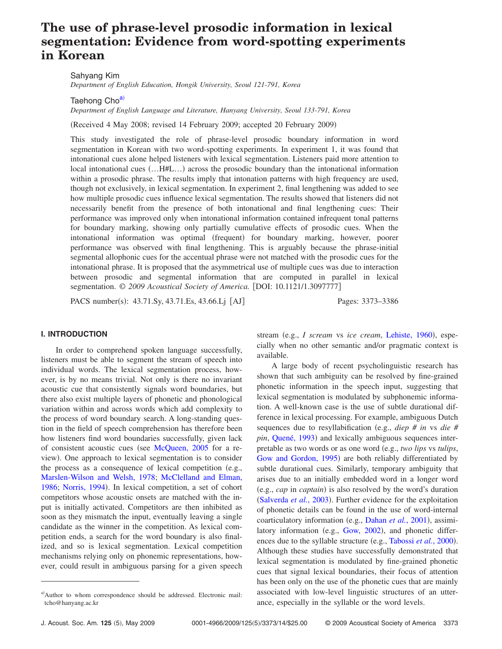# **The use of phrase-level prosodic information in lexical segmentation: Evidence from word-spotting experiments in Korean**

Sahyang Kim

*Department of English Education, Hongik University, Seoul 121-791, Korea*

Taehong Cho<sup>a)</sup>

*Department of English Language and Literature, Hanyang University, Seoul 133-791, Korea*

Received 4 May 2008; revised 14 February 2009; accepted 20 February 2009-

This study investigated the role of phrase-level prosodic boundary information in word segmentation in Korean with two word-spotting experiments. In experiment 1, it was found that intonational cues alone helped listeners with lexical segmentation. Listeners paid more attention to local intonational cues (...H#L...) across the prosodic boundary than the intonational information within a prosodic phrase. The results imply that intonation patterns with high frequency are used, though not exclusively, in lexical segmentation. In experiment 2, final lengthening was added to see how multiple prosodic cues influence lexical segmentation. The results showed that listeners did not necessarily benefit from the presence of both intonational and final lengthening cues: Their performance was improved only when intonational information contained infrequent tonal patterns for boundary marking, showing only partially cumulative effects of prosodic cues. When the intonational information was optimal (frequent) for boundary marking, however, poorer performance was observed with final lengthening. This is arguably because the phrase-initial segmental allophonic cues for the accentual phrase were not matched with the prosodic cues for the intonational phrase. It is proposed that the asymmetrical use of multiple cues was due to interaction between prosodic and segmental information that are computed in parallel in lexical segmentation. © 2009 Acoustical Society of America. [DOI: 10.1121/1.3097777]

PACS number(s): 43.71.Sy, 43.71.Es, 43.66.Lj [AJ] Pages: 3373–3386

# **I. INTRODUCTION**

In order to comprehend spoken language successfully, listeners must be able to segment the stream of speech into individual words. The lexical segmentation process, however, is by no means trivial. Not only is there no invariant acoustic cue that consistently signals word boundaries, but there also exist multiple layers of phonetic and phonological variation within and across words which add complexity to the process of word boundary search. A long-standing question in the field of speech comprehension has therefore been how listeners find word boundaries successfully, given lack of consistent acoustic cues (see [McQueen, 2005](#page-13-0) for a review). One approach to lexical segmentation is to consider the process as a consequence of lexical competition (e.g., [Marslen-Wilson and Welsh, 1978;](#page-13-1) [McClelland and Elman,](#page-13-2) [1986;](#page-13-2) [Norris, 1994](#page-13-3)). In lexical competition, a set of cohort competitors whose acoustic onsets are matched with the input is initially activated. Competitors are then inhibited as soon as they mismatch the input, eventually leaving a single candidate as the winner in the competition. As lexical competition ends, a search for the word boundary is also finalized, and so is lexical segmentation. Lexical competition mechanisms relying only on phonemic representations, however, could result in ambiguous parsing for a given speech

stream (e.g., *I scream vs ice cream*, [Lehiste, 1960](#page-12-0)), especially when no other semantic and/or pragmatic context is available.

A large body of recent psycholinguistic research has shown that such ambiguity can be resolved by fine-grained phonetic information in the speech input, suggesting that lexical segmentation is modulated by subphonemic information. A well-known case is the use of subtle durational difference in lexical processing. For example, ambiguous Dutch sequences due to resyllabification (e.g., *diep # in* vs *die #* pin, [Quené, 1993](#page-13-4)) and lexically ambiguous sequences interpretable as two words or as one word (e.g., *two lips* vs *tulips*, [Gow and Gordon, 1995](#page-12-1)) are both reliably differentiated by subtle durational cues. Similarly, temporary ambiguity that arises due to an initially embedded word in a longer word (e.g., *cap* in *captain*) is also resolved by the word's duration ([Salverda](#page-13-5) et al., 2003). Further evidence for the exploitation of phonetic details can be found in the use of word-internal coarticulatory information (e.g., [Dahan](#page-12-2) et al., 2001), assimi-latory information (e.g., [Gow, 2002](#page-12-3)), and phonetic differ-ences due to the syllable structure (e.g., [Tabossi](#page-13-6) et al., 2000). Although these studies have successfully demonstrated that lexical segmentation is modulated by fine-grained phonetic cues that signal lexical boundaries, their focus of attention has been only on the use of the phonetic cues that are mainly associated with low-level linguistic structures of an utterance, especially in the syllable or the word levels.

<span id="page-0-0"></span>a)Author to whom correspondence should be addressed. Electronic mail: tcho@hanyang.ac.kr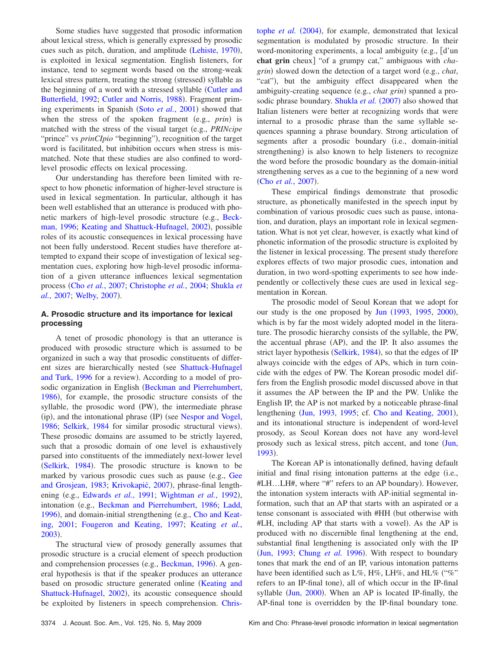Some studies have suggested that prosodic information about lexical stress, which is generally expressed by prosodic cues such as pitch, duration, and amplitude ([Lehiste, 1970](#page-12-4)), is exploited in lexical segmentation. English listeners, for instance, tend to segment words based on the strong-weak lexical stress pattern, treating the strong (stressed) syllable as the beginning of a word with a stressed syllable ([Cutler and](#page-12-5) [Butterfield, 1992;](#page-12-5) [Cutler and Norris, 1988](#page-12-6)). Fragment prim-ing experiments in Spanish (Soto et al.[, 2001](#page-13-7)) showed that when the stress of the spoken fragment (e.g., *prin*) is matched with the stress of the visual target (e.g., *PRINcipe* "prince" vs *prinClpio* "beginning"), recognition of the target word is facilitated, but inhibition occurs when stress is mismatched. Note that these studies are also confined to wordlevel prosodic effects on lexical processing.

Our understanding has therefore been limited with respect to how phonetic information of higher-level structure is used in lexical segmentation. In particular, although it has been well established that an utterance is produced with pho-netic markers of high-level prosodic structure (e.g., [Beck](#page-12-7)[man, 1996;](#page-12-7) [Keating and Shattuck-Hufnagel, 2002](#page-12-8)), possible roles of its acoustic consequences in lexical processing have not been fully understood. Recent studies have therefore attempted to expand their scope of investigation of lexical segmentation cues, exploring how high-level prosodic information of a given utterance influences lexical segmentation process Cho *et al.*[, 2007;](#page-12-9) [Christophe](#page-12-10) *et al.*, 2004; [Shukla](#page-13-8) *et* al.[, 2007;](#page-13-8) [Welby, 2007](#page-13-9)).

## **A. Prosodic structure and its importance for lexical processing**

A tenet of prosodic phonology is that an utterance is produced with prosodic structure which is assumed to be organized in such a way that prosodic constituents of differ-ent sizes are hierarchically nested (see [Shattuck-Hufnagel](#page-13-10) [and Turk, 1996](#page-13-10) for a review). According to a model of pro-sodic organization in English ([Beckman and Pierrehumbert,](#page-12-11) [1986](#page-12-11)), for example, the prosodic structure consists of the syllable, the prosodic word (PW), the intermediate phrase (ip), and the intonational phrase (IP) (see [Nespor and Vogel,](#page-13-11) [1986;](#page-13-11) [Selkirk, 1984](#page-13-12) for similar prosodic structural views). These prosodic domains are assumed to be strictly layered, such that a prosodic domain of one level is exhaustively parsed into constituents of the immediately next-lower level ([Selkirk, 1984](#page-13-12)). The prosodic structure is known to be marked by various prosodic cues such as pause  $(e.g., Gee)$  $(e.g., Gee)$  $(e.g., Gee)$ [and Grosjean, 1983;](#page-12-12) [Krivokapi](#page-12-13)ć, 2007), phrase-final length-ening (e.g., [Edwards](#page-12-14) et al., 1991; [Wightman](#page-13-13) et al., 1992), intonation (e.g., [Beckman and Pierrehumbert, 1986;](#page-12-11) [Ladd,](#page-12-15) [1996](#page-12-15)), and domain-initial strengthening (e.g., [Cho and Keat](#page-12-16)[ing, 2001;](#page-12-16) [Fougeron and Keating, 1997;](#page-12-17) [Keating](#page-12-18) *et al.*, [2003](#page-12-18)).

The structural view of prosody generally assumes that prosodic structure is a crucial element of speech production and comprehension processes (e.g., [Beckman, 1996](#page-12-7)). A general hypothesis is that if the speaker produces an utterance based on prosodic structure generated online ([Keating and](#page-12-8) [Shattuck-Hufnagel, 2002](#page-12-8)), its acoustic consequence should be exploited by listeners in speech comprehension. [Chris-](#page-12-10)

[tophe](#page-12-10) et al. (2004), for example, demonstrated that lexical segmentation is modulated by prosodic structure. In their word-monitoring experiments, a local ambiguity (e.g., [d'un] chat grin cheux] "of a grumpy cat," ambiguous with *cha*grin) slowed down the detection of a target word (e.g., *chat*, "cat"), but the ambiguity effect disappeared when the ambiguity-creating sequence (e.g., *chat grin*) spanned a pro-sodic phrase boundary. [Shukla](#page-13-8) et al. (2007) also showed that Italian listeners were better at recognizing words that were internal to a prosodic phrase than the same syllable sequences spanning a phrase boundary. Strong articulation of segments after a prosodic boundary (i.e., domain-initial strengthening) is also known to help listeners to recognize the word before the prosodic boundary as the domain-initial strengthening serves as a cue to the beginning of a new word (Cho et al.[, 2007](#page-12-9)).

These empirical findings demonstrate that prosodic structure, as phonetically manifested in the speech input by combination of various prosodic cues such as pause, intonation, and duration, plays an important role in lexical segmentation. What is not yet clear, however, is exactly what kind of phonetic information of the prosodic structure is exploited by the listener in lexical processing. The present study therefore explores effects of two major prosodic cues, intonation and duration, in two word-spotting experiments to see how independently or collectively these cues are used in lexical segmentation in Korean.

The prosodic model of Seoul Korean that we adopt for our study is the one proposed by Jun ([1993,](#page-12-19) [1995,](#page-12-20) [2000](#page-12-21)), which is by far the most widely adopted model in the literature. The prosodic hierarchy consists of the syllable, the PW, the accentual phrase (AP), and the IP. It also assumes the strict layer hypothesis ([Selkirk, 1984](#page-13-12)), so that the edges of IP always coincide with the edges of APs, which in turn coincide with the edges of PW. The Korean prosodic model differs from the English prosodic model discussed above in that it assumes the AP between the IP and the PW. Unlike the English IP, the AP is not marked by a noticeable phrase-final lengthening ([Jun, 1993,](#page-12-19) [1995;](#page-12-20) cf. [Cho and Keating, 2001](#page-12-16)), and its intonational structure is independent of word-level prosody, as Seoul Korean does not have any word-level prosody such as lexical stress, pitch accent, and tone ([Jun,](#page-12-19) [1993](#page-12-19)).

The Korean AP is intonationally defined, having default initial and final rising intonation patterns at the edge (i.e., #LH...LH#, where "#" refers to an AP boundary). However, the intonation system interacts with AP-initial segmental information, such that an AP that starts with an aspirated or a tense consonant is associated with #HH (but otherwise with #LH, including AP that starts with a vowel). As the AP is produced with no discernible final lengthening at the end, substantial final lengthening is associated only with the IP ([Jun, 1993;](#page-12-19) [Chung](#page-12-22) et al. 1996). With respect to boundary tones that mark the end of an IP, various intonation patterns have been identified such as  $L\%$ ,  $H\%$ ,  $LH\%$ , and  $HL\%$  ("%") refers to an IP-final tone), all of which occur in the IP-final syllable ([Jun, 2000](#page-12-21)). When an AP is located IP-finally, the AP-final tone is overridden by the IP-final boundary tone.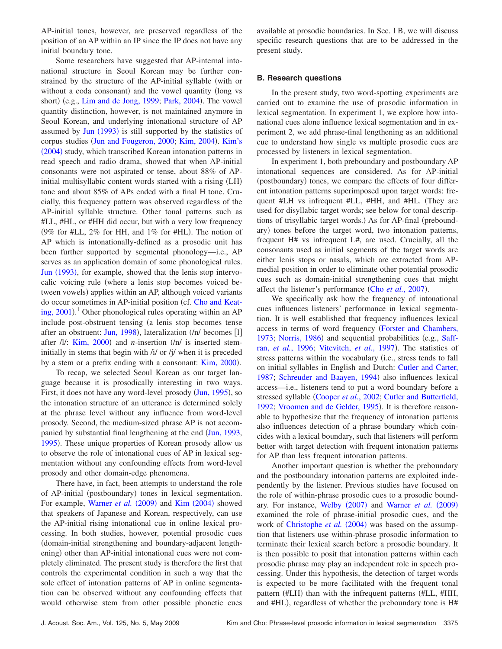AP-initial tones, however, are preserved regardless of the position of an AP within an IP since the IP does not have any initial boundary tone.

Some researchers have suggested that AP-internal intonational structure in Seoul Korean may be further constrained by the structure of the AP-initial syllable (with or without a coda consonant) and the vowel quantity (long vs short) (e.g., [Lim and de Jong, 1999;](#page-12-23) [Park, 2004](#page-13-14)). The vowel quantity distinction, however, is not maintained anymore in Seoul Korean, and underlying intonational structure of AP assumed by Jun ([1993](#page-12-19)) is still supported by the statistics of corpus studies ([Jun and Fougeron, 2000;](#page-12-24) [Kim, 2004](#page-12-25)). [Kim's](#page-12-25) ([2004](#page-12-25)) study, which transcribed Korean intonation patterns in read speech and radio drama, showed that when AP-initial consonants were not aspirated or tense, about 88% of APinitial multisyllabic content words started with a rising (LH) tone and about 85% of APs ended with a final H tone. Crucially, this frequency pattern was observed regardless of the AP-initial syllable structure. Other tonal patterns such as #LL, #HL, or #HH did occur, but with a very low frequency (9% for #LL, 2% for HH, and 1% for #HL). The notion of AP which is intonationally-defined as a prosodic unit has been further supported by segmental phonology—i.e., AP serves as an application domain of some phonological rules. Jun ([1993](#page-12-19)), for example, showed that the lenis stop intervocalic voicing rule (where a lenis stop becomes voiced between vowels) applies within an AP, although voiced variants do occur sometimes in AP-initial position (cf. [Cho and Keat](#page-12-16)ing,  $2001$ .<sup>1</sup> Other phonological rules operating within an AP include post-obstruent tensing (a lenis stop becomes tense after an obstruent: [Jun, 1998](#page-12-26)), lateralization (/n/ becomes [1] after /l/: [Kim, 2000](#page-12-27)) and *n*-insertion (/n/ is inserted steminitially in stems that begin with /i/ or /j/ when it is preceded by a stem or a prefix ending with a consonant: [Kim, 2000](#page-12-27)).

To recap, we selected Seoul Korean as our target language because it is prosodically interesting in two ways. First, it does not have any word-level prosody ([Jun, 1995](#page-12-20)), so the intonation structure of an utterance is determined solely at the phrase level without any influence from word-level prosody. Second, the medium-sized phrase AP is not accom-panied by substantial final lengthening at the end ([Jun, 1993,](#page-12-19) [1995](#page-12-20)). These unique properties of Korean prosody allow us to observe the role of intonational cues of AP in lexical segmentation without any confounding effects from word-level prosody and other domain-edge phenomena.

There have, in fact, been attempts to understand the role of AP-initial (postboundary) tones in lexical segmentation. For example, [Warner](#page-13-15) *et al.* (2009) and Kim ([2004](#page-12-25)) showed that speakers of Japanese and Korean, respectively, can use the AP-initial rising intonational cue in online lexical processing. In both studies, however, potential prosodic cues domain-initial strengthening and boundary-adjacent lengthening) other than AP-initial intonational cues were not completely eliminated. The present study is therefore the first that controls the experimental condition in such a way that the sole effect of intonation patterns of AP in online segmentation can be observed without any confounding effects that would otherwise stem from other possible phonetic cues available at prosodic boundaries. In Sec. I B, we will discuss specific research questions that are to be addressed in the present study.

#### **B. Research questions**

In the present study, two word-spotting experiments are carried out to examine the use of prosodic information in lexical segmentation. In experiment 1, we explore how intonational cues alone influence lexical segmentation and in experiment 2, we add phrase-final lengthening as an additional cue to understand how single vs multiple prosodic cues are processed by listeners in lexical segmentation.

In experiment 1, both preboundary and postboundary AP intonational sequences are considered. As for AP-initial (postboundary) tones, we compare the effects of four different intonation patterns superimposed upon target words: frequent #LH vs infrequent #LL, #HH, and #HL. They are used for disyllabic target words; see below for tonal descriptions of trisyllabic target words.) As for AP-final (preboundary) tones before the target word, two intonation patterns, frequent H# vs infrequent L#, are used. Crucially, all the consonants used as initial segments of the target words are either lenis stops or nasals, which are extracted from APmedial position in order to eliminate other potential prosodic cues such as domain-initial strengthening cues that might affect the listener's performance (Cho et al.[, 2007](#page-12-9)).

We specifically ask how the frequency of intonational cues influences listeners' performance in lexical segmentation. It is well established that frequency influences lexical access in terms of word frequency ([Forster and Chambers,](#page-12-28) [1973;](#page-12-28) [Norris, 1986](#page-13-3)) and sequential probabilities (e.g., [Saff](#page-13-16)ran, *et al.*[, 1996;](#page-13-16) [Vitevitch,](#page-13-17) *et al.*, 1997). The statistics of stress patterns within the vocabulary (i.e., stress tends to fall on initial syllables in English and Dutch: [Cutler and Carter,](#page-12-29) [1987;](#page-12-29) [Schreuder and Baayen, 1994](#page-13-18)) also influences lexical access—i.e., listeners tend to put a word boundary before a stressed syllable [Cooper](#page-12-30) *et al.*, 2002; [Cutler and Butterfield,](#page-12-5) [1992;](#page-12-5) [Vroomen and de Gelder, 1995](#page-13-19)). It is therefore reasonable to hypothesize that the frequency of intonation patterns also influences detection of a phrase boundary which coincides with a lexical boundary, such that listeners will perform better with target detection with frequent intonation patterns for AP than less frequent intonation patterns.

Another important question is whether the preboundary and the postboundary intonation patterns are exploited independently by the listener. Previous studies have focused on the role of within-phrase prosodic cues to a prosodic bound-ary. For instance, [Welby](#page-13-9) (2007) and [Warner](#page-13-15) *et al.* (2009) examined the role of phrase-initial prosodic cues, and the work of [Christophe](#page-12-10) et al. (2004) was based on the assumption that listeners use within-phrase prosodic information to terminate their lexical search before a prosodic boundary. It is then possible to posit that intonation patterns within each prosodic phrase may play an independent role in speech processing. Under this hypothesis, the detection of target words is expected to be more facilitated with the frequent tonal pattern (#LH) than with the infrequent patterns (#LL, #HH, and #HL), regardless of whether the preboundary tone is H#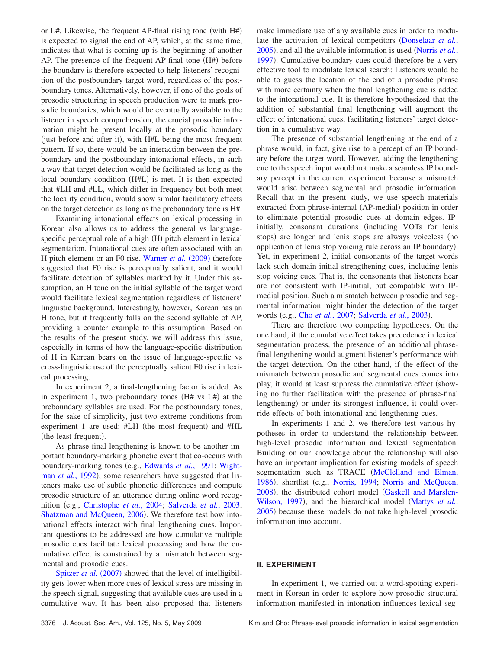or L#. Likewise, the frequent AP-final rising tone (with H#) is expected to signal the end of AP, which, at the same time, indicates that what is coming up is the beginning of another AP. The presence of the frequent AP final tone (H#) before the boundary is therefore expected to help listeners' recognition of the postboundary target word, regardless of the postboundary tones. Alternatively, however, if one of the goals of prosodic structuring in speech production were to mark prosodic boundaries, which would be eventually available to the listener in speech comprehension, the crucial prosodic information might be present locally at the prosodic boundary (just before and after it), with H#L being the most frequent pattern. If so, there would be an interaction between the preboundary and the postboundary intonational effects, in such a way that target detection would be facilitated as long as the local boundary condition (H#L) is met. It is then expected that #LH and #LL, which differ in frequency but both meet the locality condition, would show similar facilitatory effects on the target detection as long as the preboundary tone is H#.

Examining intonational effects on lexical processing in Korean also allows us to address the general vs languagespecific perceptual role of a high (H) pitch element in lexical segmentation. Intonational cues are often associated with an H pitch element or an F0 rise. [Warner](#page-13-15) et al. (2009) therefore suggested that F0 rise is perceptually salient, and it would facilitate detection of syllables marked by it. Under this assumption, an H tone on the initial syllable of the target word would facilitate lexical segmentation regardless of listeners' linguistic background. Interestingly, however, Korean has an H tone, but it frequently falls on the second syllable of AP, providing a counter example to this assumption. Based on the results of the present study, we will address this issue, especially in terms of how the language-specific distribution of H in Korean bears on the issue of language-specific vs cross-linguistic use of the perceptually salient F0 rise in lexical processing.

In experiment 2, a final-lengthening factor is added. As in experiment 1, two preboundary tones  $(H# vs L#)$  at the preboundary syllables are used. For the postboundary tones, for the sake of simplicity, just two extreme conditions from experiment 1 are used: #LH (the most frequent) and #HL (the least frequent).

As phrase-final lengthening is known to be another important boundary-marking phonetic event that co-occurs with boundary-marking tones (e.g., [Edwards](#page-12-14) et al., 1991; [Wight-](#page-12-31)man et al.[, 1992](#page-12-31)), some researchers have suggested that listeners make use of subtle phonetic differences and compute prosodic structure of an utterance during online word recog-nition (e.g., [Christophe](#page-12-10) et al., 2004; [Salverda](#page-13-5) et al., 2003; [Shatzman and McQueen, 2006](#page-13-20)). We therefore test how intonational effects interact with final lengthening cues. Important questions to be addressed are how cumulative multiple prosodic cues facilitate lexical processing and how the cumulative effect is constrained by a mismatch between segmental and prosodic cues.

[Spitzer](#page-13-21) et al. (2007) showed that the level of intelligibility gets lower when more cues of lexical stress are missing in the speech signal, suggesting that available cues are used in a cumulative way. It has been also proposed that listeners make immediate use of any available cues in order to modu-late the activation of lexical competitors ([Donselaar](#page-12-32) *et al.*, [2005](#page-12-32)), and all the available information is used ([Norris](#page-13-22) *et al.*, [1997](#page-13-22)). Cumulative boundary cues could therefore be a very effective tool to modulate lexical search: Listeners would be able to guess the location of the end of a prosodic phrase with more certainty when the final lengthening cue is added to the intonational cue. It is therefore hypothesized that the addition of substantial final lengthening will augment the effect of intonational cues, facilitating listeners' target detection in a cumulative way.

The presence of substantial lengthening at the end of a phrase would, in fact, give rise to a percept of an IP boundary before the target word. However, adding the lengthening cue to the speech input would not make a seamless IP boundary percept in the current experiment because a mismatch would arise between segmental and prosodic information. Recall that in the present study, we use speech materials extracted from phrase-internal (AP-medial) position in order to eliminate potential prosodic cues at domain edges. IPinitially, consonant durations (including VOTs for lenis stops) are longer and lenis stops are always voiceless (no application of lenis stop voicing rule across an IP boundary). Yet, in experiment 2, initial consonants of the target words lack such domain-initial strengthening cues, including lenis stop voicing cues. That is, the consonants that listeners hear are not consistent with IP-initial, but compatible with IPmedial position. Such a mismatch between prosodic and segmental information might hinder the detection of the target words (e.g., Cho et al.[, 2007;](#page-12-9) [Salverda](#page-13-5) et al., 2003).

There are therefore two competing hypotheses. On the one hand, if the cumulative effect takes precedence in lexical segmentation process, the presence of an additional phrasefinal lengthening would augment listener's performance with the target detection. On the other hand, if the effect of the mismatch between prosodic and segmental cues comes into play, it would at least suppress the cumulative effect (showing no further facilitation with the presence of phrase-final lengthening) or under its strongest influence, it could override effects of both intonational and lengthening cues.

In experiments 1 and 2, we therefore test various hypotheses in order to understand the relationship between high-level prosodic information and lexical segmentation. Building on our knowledge about the relationship will also have an important implication for existing models of speech segmentation such as TRACE ([McClelland and Elman,](#page-13-2) [1986](#page-13-2)), shortlist (e.g., [Norris, 1994;](#page-13-23) [Norris and McQueen,](#page-13-24) [2008](#page-13-24)), the distributed cohort model ([Gaskell and Marslen-](#page-12-33)[Wilson, 1997](#page-12-33)), and the hierarchical model ([Mattys](#page-13-25) et al., [2005](#page-13-25)) because these models do not take high-level prosodic information into account.

## **II. EXPERIMENT**

In experiment 1, we carried out a word-spotting experiment in Korean in order to explore how prosodic structural information manifested in intonation influences lexical seg-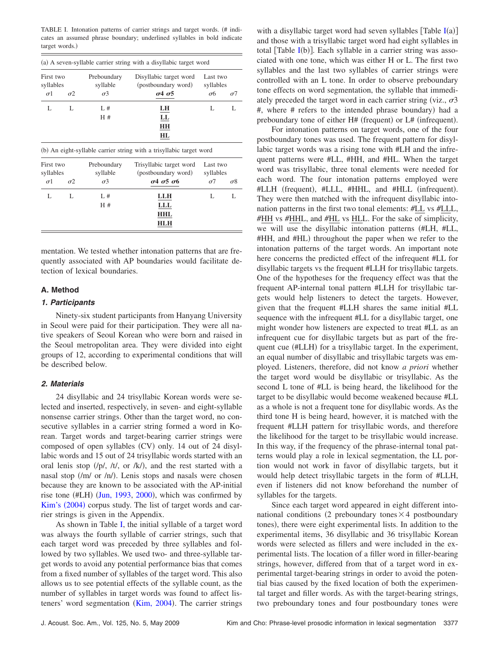<span id="page-4-0"></span>TABLE I. Intonation patterns of carrier strings and target words. (# indicates an assumed phrase boundary; underlined syllables in bold indicate target words.)

| First two<br>syllables |                       | Disyllabic target word<br>Preboundary<br>(postboundary word)<br>syllable |                          | Last two<br>syllables |            |
|------------------------|-----------------------|--------------------------------------------------------------------------|--------------------------|-----------------------|------------|
| $\sigma$ 1             | $\sigma$ <sup>2</sup> | $\sigma$ 3                                                               | $\sigma$ 4 $\sigma$ 5    | σ6                    | $\sigma$ 7 |
| L                      | L                     | L#                                                                       | LH                       | L                     |            |
|                        |                       | H#                                                                       | $\underline{\mathbf{L}}$ |                       |            |
|                        |                       |                                                                          | H H                      |                       |            |
|                        |                       |                                                                          | HL                       |                       |            |

| First two<br>syllables |                       | Preboundary<br>syllable | Trisyllabic target word<br>(postboundary word) | Last two<br>syllables |                       |
|------------------------|-----------------------|-------------------------|------------------------------------------------|-----------------------|-----------------------|
| $\sigma$ 1             | $\sigma$ <sup>2</sup> | $\sigma$ <sup>3</sup>   | $\sigma$ 4 $\sigma$ 5 $\sigma$ 6               | $\sigma$ 7            | $\sigma$ <sup>8</sup> |
|                        |                       | L#                      | LLH                                            |                       |                       |
|                        |                       | H #                     | LLL                                            |                       |                       |
|                        |                       |                         | <b>HHL</b>                                     |                       |                       |
|                        |                       |                         | <b>HLH</b>                                     |                       |                       |

mentation. We tested whether intonation patterns that are frequently associated with AP boundaries would facilitate detection of lexical boundaries.

## **A. Method**

### *1. Participants*

Ninety-six student participants from Hanyang University in Seoul were paid for their participation. They were all native speakers of Seoul Korean who were born and raised in the Seoul metropolitan area. They were divided into eight groups of 12, according to experimental conditions that will be described below.

## *2. Materials*

24 disyllabic and 24 trisyllabic Korean words were selected and inserted, respectively, in seven- and eight-syllable nonsense carrier strings. Other than the target word, no consecutive syllables in a carrier string formed a word in Korean. Target words and target-bearing carrier strings were composed of open syllables (CV) only. 14 out of 24 disyllabic words and 15 out of 24 trisyllabic words started with an oral lenis stop  $(1p/$ ,  $/11/$ , or  $/16/1)$ , and the rest started with a nasal stop (/m/ or /n/). Lenis stops and nasals were chosen because they are known to be associated with the AP-initial rise tone (#LH) ([Jun, 1993,](#page-12-19) [2000](#page-12-21)), which was confirmed by [Kim's](#page-12-25) (2004) corpus study. The list of target words and carrier strings is given in the Appendix.

As shown in Table [I,](#page-4-0) the initial syllable of a target word was always the fourth syllable of carrier strings, such that each target word was preceded by three syllables and followed by two syllables. We used two- and three-syllable target words to avoid any potential performance bias that comes from a fixed number of syllables of the target word. This also allows us to see potential effects of the syllable count, as the number of syllables in target words was found to affect lis-teners' word segmentation ([Kim, 2004](#page-12-25)). The carrier strings

with a disyllabic target word had seven syllables  $[Table I(a)]$  $[Table I(a)]$  $[Table I(a)]$ and those with a trisyllabic target word had eight syllables in total [Table [I](#page-4-0)(b)]. Each syllable in a carrier string was associated with one tone, which was either H or L. The first two syllables and the last two syllables of carrier strings were controlled with an L tone. In order to observe preboundary tone effects on word segmentation, the syllable that immediately preceded the target word in each carrier string (viz.,  $\sigma$ 3 #, where # refers to the intended phrase boundary) had a preboundary tone of either H# (frequent) or L# (infrequent).

For intonation patterns on target words, one of the four postboundary tones was used. The frequent pattern for disyllabic target words was a rising tone with #LH and the infrequent patterns were #LL, #HH, and #HL. When the target word was trisyllabic, three tonal elements were needed for each word. The four intonation patterns employed were #LLH (frequent), #LLL, #HHL, and #HLL (infrequent). They were then matched with the infrequent disyllabic intonation patterns in the first two tonal elements: *#*LL vs *#*LLL, *#*HH vs *#*HHL, and *#*HL vs HLL. For the sake of simplicity, we will use the disyllabic intonation patterns (#LH, #LL, #HH, and #HL) throughout the paper when we refer to the intonation patterns of the target words. An important note here concerns the predicted effect of the infrequent #LL for disyllabic targets vs the frequent #LLH for trisyllabic targets. One of the hypotheses for the frequency effect was that the frequent AP-internal tonal pattern #LLH for trisyllabic targets would help listeners to detect the targets. However, given that the frequent #LLH shares the same initial #LL sequence with the infrequent #LL for a disyllabic target, one might wonder how listeners are expected to treat #LL as an infrequent cue for disyllabic targets but as part of the frequent cue (#LLH) for a trisyllabic target. In the experiment, an equal number of disyllabic and trisyllabic targets was employed. Listeners, therefore, did not know *a priori* whether the target word would be disyllabic or trisyllabic. As the second L tone of #LL is being heard, the likelihood for the target to be disyllabic would become weakened because #LL as a whole is not a frequent tone for disyllabic words. As the third tone H is being heard, however, it is matched with the frequent #LLH pattern for trisyllabic words, and therefore the likelihood for the target to be trisyllabic would increase. In this way, if the frequency of the phrase-internal tonal patterns would play a role in lexical segmentation, the LL portion would not work in favor of disyllabic targets, but it would help detect trisyllabic targets in the form of #LLH, even if listeners did not know beforehand the number of syllables for the targets.

Since each target word appeared in eight different intonational conditions (2 preboundary tones  $\times$  4 postboundary tones), there were eight experimental lists. In addition to the experimental items, 36 disyllabic and 36 trisyllabic Korean words were selected as fillers and were included in the experimental lists. The location of a filler word in filler-bearing strings, however, differed from that of a target word in experimental target-bearing strings in order to avoid the potential bias caused by the fixed location of both the experimental target and filler words. As with the target-bearing strings, two preboundary tones and four postboundary tones were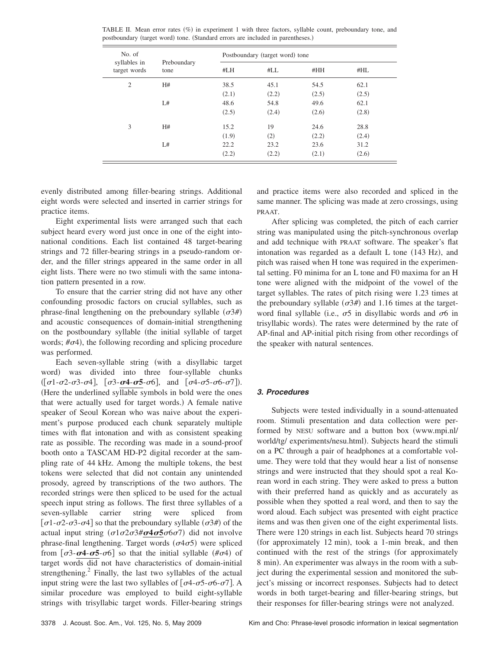<span id="page-5-0"></span>TABLE II. Mean error rates (%) in experiment 1 with three factors, syllable count, preboundary tone, and postboundary (target word) tone. (Standard errors are included in parentheses.)

| No. of                       |                     |       | Postboundary (target word) tone |       |       |  |
|------------------------------|---------------------|-------|---------------------------------|-------|-------|--|
| syllables in<br>target words | Preboundary<br>tone | #LH   | #LL                             | #HH   | #HL   |  |
| $\overline{2}$               | H#                  | 38.5  | 45.1                            | 54.5  | 62.1  |  |
|                              |                     | (2.1) | (2.2)                           | (2.5) | (2.5) |  |
|                              | L#                  | 48.6  | 54.8                            | 49.6  | 62.1  |  |
|                              |                     | (2.5) | (2.4)                           | (2.6) | (2.8) |  |
| 3                            | H#                  | 15.2  | 19                              | 24.6  | 28.8  |  |
|                              |                     | (1.9) | (2)                             | (2.2) | (2.4) |  |
|                              | L#                  | 22.2  | 23.2                            | 23.6  | 31.2  |  |
|                              |                     | (2.2) | (2.2)                           | (2.1) | (2.6) |  |

evenly distributed among filler-bearing strings. Additional eight words were selected and inserted in carrier strings for practice items.

Eight experimental lists were arranged such that each subject heard every word just once in one of the eight intonational conditions. Each list contained 48 target-bearing strings and 72 filler-bearing strings in a pseudo-random order, and the filler strings appeared in the same order in all eight lists. There were no two stimuli with the same intonation pattern presented in a row.

To ensure that the carrier string did not have any other confounding prosodic factors on crucial syllables, such as phrase-final lengthening on the preboundary syllable  $(\sigma 3#)$ and acoustic consequences of domain-initial strengthening on the postboundary syllable (the initial syllable of target words; # $\sigma$ 4), the following recording and splicing procedure was performed.

Each seven-syllable string (with a disyllabic target word) was divided into three four-syllable chunks  $([\sigma 1-\sigma 2-\sigma 3-\sigma 4], [\sigma 3-\sigma 4-\sigma 5-\sigma 6], \text{ and } [\sigma 4-\sigma 5-\sigma 6-\sigma 7]).$ Here the underlined syllable symbols in bold were the ones that were actually used for target words.) A female native speaker of Seoul Korean who was naive about the experiment's purpose produced each chunk separately multiple times with flat intonation and with as consistent speaking rate as possible. The recording was made in a sound-proof booth onto a TASCAM HD-P2 digital recorder at the sampling rate of 44 kHz. Among the multiple tokens, the best tokens were selected that did not contain any unintended prosody, agreed by transcriptions of the two authors. The recorded strings were then spliced to be used for the actual speech input string as follows. The first three syllables of a seven-syllable carrier string were spliced from  $[\sigma 1-\sigma 2-\sigma 3-\sigma 4]$  so that the preboundary syllable  $(\sigma 3\#)$  of the actual input string  $(\sigma 1 \sigma 2 \sigma 3 \# \sigma 4 \sigma 5 \sigma 6 \sigma 7)$  did not involve phrase-final lengthening. Target words  $(\sigma 4\sigma 5)$  were spliced from  $[\sigma^3 - \sigma^4 - \sigma^5 - \sigma^6]$  so that the initial syllable (# $\sigma^4$ ) of target words did not have characteristics of domain-initial strengthening.<sup>2</sup> Finally, the last two syllables of the actual input string were the last two syllables of  $[\sigma 4-\sigma 5-\sigma 6-\sigma 7]$ . A similar procedure was employed to build eight-syllable strings with trisyllabic target words. Filler-bearing strings and practice items were also recorded and spliced in the same manner. The splicing was made at zero crossings, using PRAAT.

After splicing was completed, the pitch of each carrier string was manipulated using the pitch-synchronous overlap and add technique with PRAAT software. The speaker's flat intonation was regarded as a default L tone (143 Hz), and pitch was raised when H tone was required in the experimental setting. F0 minima for an L tone and F0 maxima for an H tone were aligned with the midpoint of the vowel of the target syllables. The rates of pitch rising were 1.23 times at the preboundary syllable  $(\sigma 3#)$  and 1.16 times at the targetword final syllable (i.e.,  $\sigma$ 5 in disyllabic words and  $\sigma$ 6 in trisyllabic words). The rates were determined by the rate of AP-final and AP-initial pitch rising from other recordings of the speaker with natural sentences.

## *3. Procedures*

Subjects were tested individually in a sound-attenuated room. Stimuli presentation and data collection were performed by NESU software and a button box (www.mpi.nl/ world/tg/ experiments/nesu.html). Subjects heard the stimuli on a PC through a pair of headphones at a comfortable volume. They were told that they would hear a list of nonsense strings and were instructed that they should spot a real Korean word in each string. They were asked to press a button with their preferred hand as quickly and as accurately as possible when they spotted a real word, and then to say the word aloud. Each subject was presented with eight practice items and was then given one of the eight experimental lists. There were 120 strings in each list. Subjects heard 70 strings (for approximately 12 min), took a 1-min break, and then continued with the rest of the strings (for approximately 8 min). An experimenter was always in the room with a subject during the experimental session and monitored the subject's missing or incorrect responses. Subjects had to detect words in both target-bearing and filler-bearing strings, but their responses for filler-bearing strings were not analyzed.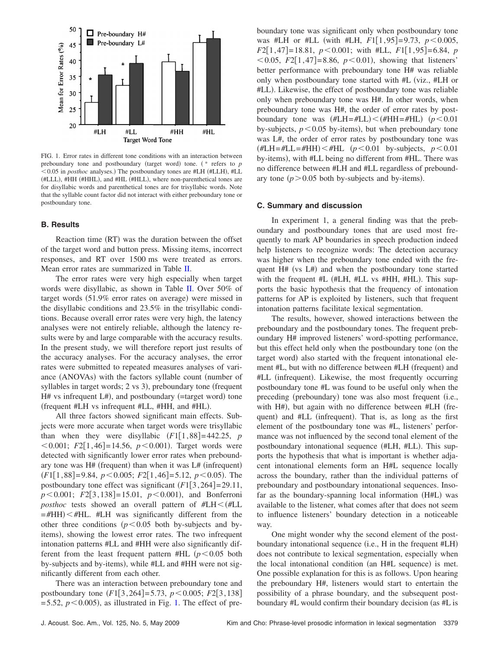<span id="page-6-0"></span>

FIG. 1. Error rates in different tone conditions with an interaction between preboundary tone and postboundary (target word) tone. (\* refers to *p* <0.05 in *posthoc* analyses.) The postboundary tones are #LH (#LLH), #LL (#LLL), #HH (#HHL), and #HL (#HLL), where non-parenthetical tones are for disyllabic words and parenthetical tones are for trisyllabic words. Note that the syllable count factor did not interact with either preboundary tone or postboundary tone.

#### **B. Results**

Reaction time (RT) was the duration between the offset of the target word and button press. Missing items, incorrect responses, and RT over 1500 ms were treated as errors. Mean error rates are summarized in Table [II.](#page-5-0)

The error rates were very high especially when target words were disyllabic, as shown in Table [II.](#page-5-0) Over 50% of target words (51.9% error rates on average) were missed in the disyllabic conditions and 23.5% in the trisyllabic conditions. Because overall error rates were very high, the latency analyses were not entirely reliable, although the latency results were by and large comparable with the accuracy results. In the present study, we will therefore report just results of the accuracy analyses. For the accuracy analyses, the error rates were submitted to repeated measures analyses of variance (ANOVAs) with the factors syllable count (number of syllables in target words; 2 vs 3), preboundary tone (frequent H# vs infrequent L#), and postboundary (=target word) tone (frequent #LH vs infrequent #LL, #HH, and #HL).

All three factors showed significant main effects. Subjects were more accurate when target words were trisyllabic than when they were disyllabic  $(F1[1, 88] = 442.25, p$  $\leq$  0.001;  $F2[1,46] = 14.56$ ,  $p \leq 0.001$ ). Target words were detected with significantly lower error rates when preboundary tone was H# (frequent) than when it was L# (infrequent)  $(F1[1, 88] = 9.84, p < 0.005; F2[1, 46] = 5.12, p < 0.05$ . The postboundary tone effect was significant  $(F1[3, 264] = 29.11$ ,  $p < 0.001$ ;  $F2[3, 138] = 15.01$ ,  $p < 0.001$ ), and Bonferroni *posthoc* tests showed an overall pattern of  $#LH < (#LL)$  $=$  #HH)  $\lt$  #HL. #LH was significantly different from the other three conditions  $(p<0.05$  both by-subjects and byitems), showing the lowest error rates. The two infrequent intonation patterns #LL and #HH were also significantly different from the least frequent pattern #HL  $(p<0.05$  both by-subjects and by-items), while #LL and #HH were not significantly different from each other.

There was an interaction between preboundary tone and postboundary tone  $(F1[3, 264] = 5.73, p < 0.005; F2[3, 138]$  $= 5.52, p < 0.005$ ), as illustrated in Fig. [1.](#page-6-0) The effect of preboundary tone was significant only when postboundary tone was #LH or #LL (with #LH,  $F1[1, 95] = 9.73$ ,  $p \le 0.005$ ,  $F2[1,47] = 18.81, p < 0.001$ ; with #LL,  $F1[1,95] = 6.84, p$  $\leq$  0.05, *F*2[1,47]=8.86, *p*<0.01), showing that listeners' better performance with preboundary tone H# was reliable only when postboundary tone started with #L (viz., #LH or #LL). Likewise, the effect of postboundary tone was reliable only when preboundary tone was H#. In other words, when preboundary tone was H#, the order of error rates by postboundary tone was  $(\#LH = \#LL) < (\#HH = \#HL)$   $(p < 0.01$ by-subjects,  $p < 0.05$  by-items), but when preboundary tone was L#, the order of error rates by postboundary tone was  $(\text{\#LH} = \text{\#LL} = \text{\#HH}) < \text{\#HL}$   $(p < 0.01$  by-subjects,  $p < 0.01$ by-items), with #LL being no different from #HL. There was no difference between #LH and #LL regardless of preboundary tone  $(p > 0.05$  both by-subjects and by-items).

#### **C. Summary and discussion**

In experiment 1, a general finding was that the preboundary and postboundary tones that are used most frequently to mark AP boundaries in speech production indeed help listeners to recognize words: The detection accuracy was higher when the preboundary tone ended with the frequent H# (vs L#) and when the postboundary tone started with the frequent #L (#LH, #LL vs #HH, #HL). This supports the basic hypothesis that the frequency of intonation patterns for AP is exploited by listeners, such that frequent intonation patterns facilitate lexical segmentation.

The results, however, showed interactions between the preboundary and the postboundary tones. The frequent preboundary H# improved listeners' word-spotting performance, but this effect held only when the postboundary tone (on the target word) also started with the frequent intonational element #L, but with no difference between #LH (frequent) and #LL (infrequent). Likewise, the most frequently occurring postboundary tone #L was found to be useful only when the preceding (preboundary) tone was also most frequent (i.e., with H#), but again with no difference between #LH (frequent) and #LL (infrequent). That is, as long as the first element of the postboundary tone was #L, listeners' performance was not influenced by the second tonal element of the postboundary intonational sequence (#LH, #LL). This supports the hypothesis that what is important is whether adjacent intonational elements form an H#L sequence locally across the boundary, rather than the individual patterns of preboundary and postboundary intonational sequences. Insofar as the boundary-spanning local information (H#L) was available to the listener, what comes after that does not seem to influence listeners' boundary detection in a noticeable way.

One might wonder why the second element of the postboundary intonational sequence (i.e., H in the frequent #LH) does not contribute to lexical segmentation, especially when the local intonational condition (an H#L sequence) is met. One possible explanation for this is as follows. Upon hearing the preboundary H#, listeners would start to entertain the possibility of a phrase boundary, and the subsequent postboundary #L would confirm their boundary decision (as #L is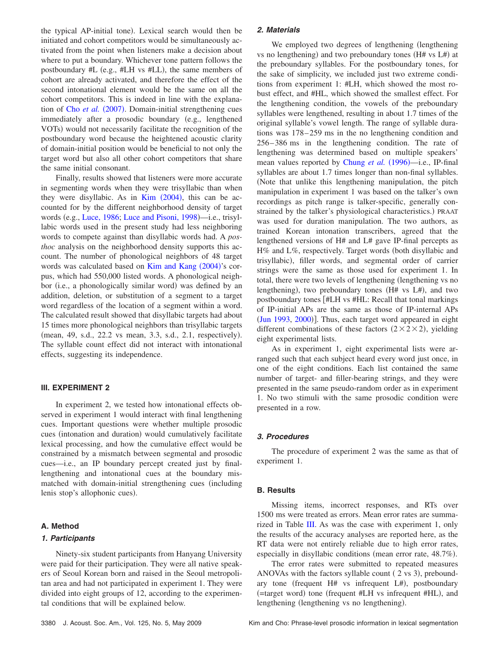the typical AP-initial tone). Lexical search would then be initiated and cohort competitors would be simultaneously activated from the point when listeners make a decision about where to put a boundary. Whichever tone pattern follows the postboundary #L (e.g., #LH vs #LL), the same members of cohort are already activated, and therefore the effect of the second intonational element would be the same on all the cohort competitors. This is indeed in line with the explanation of Cho [et al.](#page-12-9) (2007). Domain-initial strengthening cues immediately after a prosodic boundary (e.g., lengthened VOTs) would not necessarily facilitate the recognition of the postboundary word because the heightened acoustic clarity of domain-initial position would be beneficial to not only the target word but also all other cohort competitors that share the same initial consonant.

Finally, results showed that listeners were more accurate in segmenting words when they were trisyllabic than when they were disyllabic. As in  $Kim$  ([2004](#page-12-25)), this can be accounted for by the different neighborhood density of target words (e.g., [Luce, 1986;](#page-12-34) [Luce and Pisoni, 1998](#page-13-26))—i.e., trisyllabic words used in the present study had less neighboring words to compete against than disyllabic words had. A *posthoc* analysis on the neighborhood density supports this account. The number of phonological neighbors of 48 target words was calculated based on [Kim and Kang](#page-12-35) (2004)'s corpus, which had 550,000 listed words. A phonological neighbor (i.e., a phonologically similar word) was defined by an addition, deletion, or substitution of a segment to a target word regardless of the location of a segment within a word. The calculated result showed that disyllabic targets had about 15 times more phonological neighbors than trisyllabic targets (mean, 49, s.d., 22.2 vs mean, 3.3, s.d., 2.1, respectively). The syllable count effect did not interact with intonational effects, suggesting its independence.

#### **III. EXPERIMENT 2**

In experiment 2, we tested how intonational effects observed in experiment 1 would interact with final lengthening cues. Important questions were whether multiple prosodic cues (intonation and duration) would cumulatively facilitate lexical processing, and how the cumulative effect would be constrained by a mismatch between segmental and prosodic cues—i.e., an IP boundary percept created just by finallengthening and intonational cues at the boundary mismatched with domain-initial strengthening cues (including lenis stop's allophonic cues).

## **A. Method**

#### *1. Participants*

Ninety-six student participants from Hanyang University were paid for their participation. They were all native speakers of Seoul Korean born and raised in the Seoul metropolitan area and had not participated in experiment 1. They were divided into eight groups of 12, according to the experimental conditions that will be explained below.

#### *2. Materials*

We employed two degrees of lengthening (lengthening vs no lengthening) and two preboundary tones (H# vs L#) at the preboundary syllables. For the postboundary tones, for the sake of simplicity, we included just two extreme conditions from experiment 1: #LH, which showed the most robust effect, and #HL, which showed the smallest effect. For the lengthening condition, the vowels of the preboundary syllables were lengthened, resulting in about 1.7 times of the original syllable's vowel length. The range of syllable durations was  $178-259$  ms in the no lengthening condition and 256– 386 ms in the lengthening condition. The rate of lengthening was determined based on multiple speakers' mean values reported by [Chung](#page-12-22) et al. (1996)—i.e., IP-final syllables are about 1.7 times longer than non-final syllables. Note that unlike this lengthening manipulation, the pitch manipulation in experiment 1 was based on the talker's own recordings as pitch range is talker-specific, generally constrained by the talker's physiological characteristics.) PRAAT was used for duration manipulation. The two authors, as trained Korean intonation transcribers, agreed that the lengthened versions of H# and L# gave IP-final percepts as  $H\%$  and  $L\%$ , respectively. Target words (both disyllabic and trisyllabic), filler words, and segmental order of carrier strings were the same as those used for experiment 1. In total, there were two levels of lengthening (lengthening vs no lengthening), two preboundary tones (H# vs L#), and two postboundary tones [#LH vs #HL: Recall that tonal markings of IP-initial APs are the same as those of IP-internal APs ([Jun 1993,](#page-12-19) [2000](#page-12-21))]. Thus, each target word appeared in eight different combinations of these factors  $(2 \times 2 \times 2)$ , yielding eight experimental lists.

As in experiment 1, eight experimental lists were arranged such that each subject heard every word just once, in one of the eight conditions. Each list contained the same number of target- and filler-bearing strings, and they were presented in the same pseudo-random order as in experiment 1. No two stimuli with the same prosodic condition were presented in a row.

### *3. Procedures*

The procedure of experiment 2 was the same as that of experiment 1.

#### **B. Results**

Missing items, incorrect responses, and RTs over 1500 ms were treated as errors. Mean error rates are summarized in Table [III.](#page-8-0) As was the case with experiment 1, only the results of the accuracy analyses are reported here, as the RT data were not entirely reliable due to high error rates, especially in disyllabic conditions (mean error rate, 48.7%).

The error rates were submitted to repeated measures ANOVAs with the factors syllable count  $(2 \text{ vs } 3)$ , preboundary tone (frequent H# vs infrequent L#), postboundary (=target word) tone (frequent #LH vs infrequent #HL), and lengthening (lengthening vs no lengthening).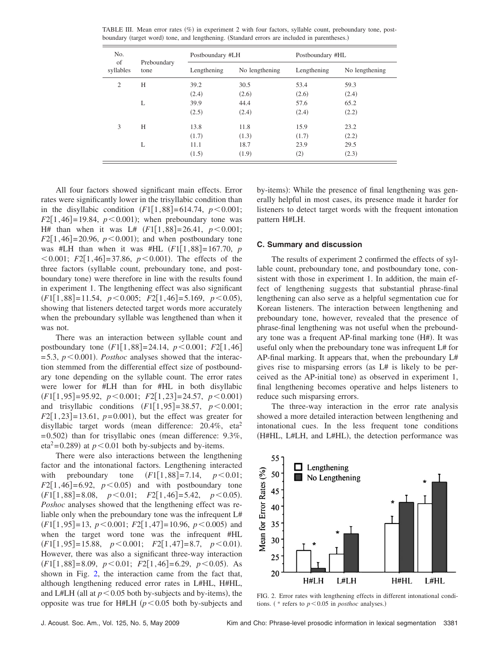<span id="page-8-0"></span>TABLE III. Mean error rates (%) in experiment 2 with four factors, syllable count, preboundary tone, postboundary (target word) tone, and lengthening. (Standard errors are included in parentheses.)

| No.<br>of<br>Preboundary |      | Postboundary #LH |                | Postboundary #HL |                |
|--------------------------|------|------------------|----------------|------------------|----------------|
| syllables                | tone | Lengthening      | No lengthening | Lengthening      | No lengthening |
| $\overline{2}$           | Н    | 39.2             | 30.5           | 53.4             | 59.3           |
|                          |      | (2.4)            | (2.6)          | (2.6)            | (2.4)          |
|                          | L    | 39.9             | 44.4           | 57.6             | 65.2           |
|                          |      | (2.5)            | (2.4)          | (2.4)            | (2.2)          |
| 3                        | Н    | 13.8             | 11.8           | 15.9             | 23.2           |
|                          |      | (1.7)            | (1.3)          | (1.7)            | (2.2)          |
|                          | L    | 11.1             | 18.7           | 23.9             | 29.5           |
|                          |      | (1.5)            | (1.9)          | (2)              | (2.3)          |

All four factors showed significant main effects. Error rates were significantly lower in the trisyllabic condition than in the disyllabic condition  $(F1[1, 88] = 614.74, p < 0.001;$  $F2[1, 46] = 19.84$ ,  $p < 0.001$ ); when preboundary tone was H# than when it was L#  $(F1[1, 88] = 26.41, p < 0.001;$  $F2[1, 46] = 20.96, p < 0.001$ ; and when postboundary tone was #LH than when it was #HL  $(F1[1, 88] = 167.70, p$  $\leq$  0.001;  $F2[1,46] = 37.86$ ,  $p \leq 0.001$ ). The effects of the three factors (syllable count, preboundary tone, and postboundary tone) were therefore in line with the results found in experiment 1. The lengthening effect was also significant  $(F1[1, 88] = 11.54, p < 0.005; F2[1, 46] = 5.169, p < 0.05$ , showing that listeners detected target words more accurately when the preboundary syllable was lengthened than when it was not.

There was an interaction between syllable count and postboundary tone  $(F1[1, 88] = 24.14, p < 0.001; F2[1, 46]$  $= 5.3, p < 0.001$ ). *Posthoc* analyses showed that the interaction stemmed from the differential effect size of postboundary tone depending on the syllable count. The error rates were lower for #LH than for #HL in both disyllabic  $(F1[1, 95] = 95.92, p < 0.001; F2[1, 23] = 24.57, p < 0.001$ and trisyllabic conditions  $(F1[1, 95] = 38.57, p < 0.001;$  $F2[1, 23] = 13.61$ ,  $p = 0.001$ ), but the effect was greater for disyllabic target words (mean difference:  $20.4\%$ , eta<sup>2</sup>  $= 0.502$ ) than for trisyllabic ones (mean difference: 9.3%,  $eta^2$ =0.289) at  $p$ <0.01 both by-subjects and by-items.

There were also interactions between the lengthening factor and the intonational factors. Lengthening interacted with preboundary tone  $(F1[1, 88] = 7.14, p < 0.01;$  $F2[1,46] = 6.92$ ,  $p < 0.05$  and with postboundary tone  $(F1[1, 88] = 8.08, \quad p < 0.01; \quad F2[1, 46] = 5.42, \quad p < 0.05).$ *Poshoc* analyses showed that the lengthening effect was reliable only when the preboundary tone was the infrequent L#  $(F1[1, 95] = 13, p < 0.001; F2[1, 47] = 10.96, p < 0.005)$  and when the target word tone was the infrequent #HL  $(F1[1, 95] = 15.88, p < 0.001; F2[1, 47] = 8.7, p < 0.01$ . However, there was also a significant three-way interaction  $(F1[1, 88] = 8.09, p < 0.01; F2[1, 46] = 6.29, p < 0.05$ . As shown in Fig. [2,](#page-8-1) the interaction came from the fact that, although lengthening reduced error rates in L#HL, H#HL, and L#LH (all at  $p < 0.05$  both by-subjects and by-items), the opposite was true for H#LH  $(p<0.05$  both by-subjects and

by-items): While the presence of final lengthening was generally helpful in most cases, its presence made it harder for listeners to detect target words with the frequent intonation pattern H#LH.

## **C. Summary and discussion**

The results of experiment 2 confirmed the effects of syllable count, preboundary tone, and postboundary tone, consistent with those in experiment 1. In addition, the main effect of lengthening suggests that substantial phrase-final lengthening can also serve as a helpful segmentation cue for Korean listeners. The interaction between lengthening and preboundary tone, however, revealed that the presence of phrase-final lengthening was not useful when the preboundary tone was a frequent AP-final marking tone (H#). It was useful only when the preboundary tone was infrequent L# for AP-final marking. It appears that, when the preboundary L# gives rise to misparsing errors (as  $L#$  is likely to be perceived as the AP-initial tone) as observed in experiment 1, final lengthening becomes operative and helps listeners to reduce such misparsing errors.

The three-way interaction in the error rate analysis showed a more detailed interaction between lengthening and intonational cues. In the less frequent tone conditions (H#HL, L#LH, and L#HL), the detection performance was

<span id="page-8-1"></span>

FIG. 2. Error rates with lengthening effects in different intonational conditions. ( $*$  refers to  $p<0.05$  in *posthoc* analyses.)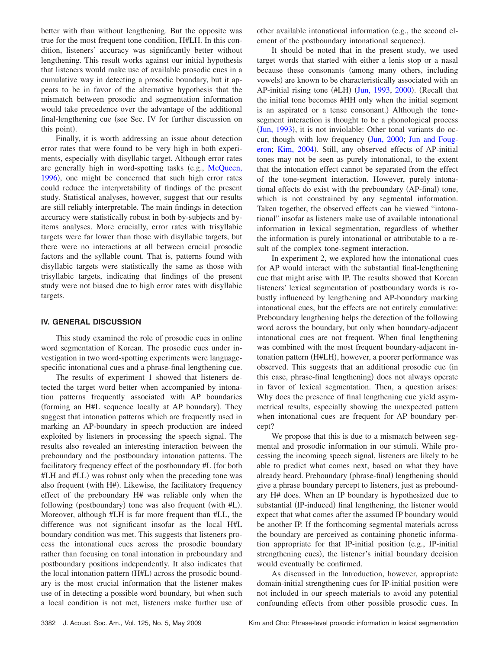better with than without lengthening. But the opposite was true for the most frequent tone condition, H#LH. In this condition, listeners' accuracy was significantly better without lengthening. This result works against our initial hypothesis that listeners would make use of available prosodic cues in a cumulative way in detecting a prosodic boundary, but it appears to be in favor of the alternative hypothesis that the mismatch between prosodic and segmentation information would take precedence over the advantage of the additional final-lengthening cue (see Sec. IV for further discussion on this point).

Finally, it is worth addressing an issue about detection error rates that were found to be very high in both experiments, especially with disyllabic target. Although error rates are generally high in word-spotting tasks (e.g., [McQueen,](#page-13-27) [1996](#page-13-27)), one might be concerned that such high error rates could reduce the interpretability of findings of the present study. Statistical analyses, however, suggest that our results are still reliably interpretable. The main findings in detection accuracy were statistically robust in both by-subjects and byitems analyses. More crucially, error rates with trisyllabic targets were far lower than those with disyllabic targets, but there were no interactions at all between crucial prosodic factors and the syllable count. That is, patterns found with disyllabic targets were statistically the same as those with trisyllabic targets, indicating that findings of the present study were not biased due to high error rates with disyllabic targets.

## **IV. GENERAL DISCUSSION**

This study examined the role of prosodic cues in online word segmentation of Korean. The prosodic cues under investigation in two word-spotting experiments were languagespecific intonational cues and a phrase-final lengthening cue.

The results of experiment 1 showed that listeners detected the target word better when accompanied by intonation patterns frequently associated with AP boundaries (forming an H#L sequence locally at AP boundary). They suggest that intonation patterns which are frequently used in marking an AP-boundary in speech production are indeed exploited by listeners in processing the speech signal. The results also revealed an interesting interaction between the preboundary and the postboundary intonation patterns. The facilitatory frequency effect of the postboundary #L (for both #LH and #LL) was robust only when the preceding tone was also frequent (with H#). Likewise, the facilitatory frequency effect of the preboundary H# was reliable only when the following (postboundary) tone was also frequent (with #L). Moreover, although #LH is far more frequent than #LL, the difference was not significant insofar as the local H#L boundary condition was met. This suggests that listeners process the intonational cues across the prosodic boundary rather than focusing on tonal intonation in preboundary and postboundary positions independently. It also indicates that the local intonation pattern (H#L) across the prosodic boundary is the most crucial information that the listener makes use of in detecting a possible word boundary, but when such a local condition is not met, listeners make further use of other available intonational information (e.g., the second element of the postboundary intonational sequence).

It should be noted that in the present study, we used target words that started with either a lenis stop or a nasal because these consonants (among many others, including vowels) are known to be characteristically associated with an AP-initial rising tone (#LH) ([Jun, 1993,](#page-12-19) [2000](#page-12-21)). (Recall that the initial tone becomes #HH only when the initial segment is an aspirated or a tense consonant.) Although the tonesegment interaction is thought to be a phonological process ([Jun, 1993](#page-12-19)), it is not inviolable: Other tonal variants do oc-cur, though with low frequency ([Jun, 2000;](#page-12-21) [Jun and Foug](#page-12-24)[eron;](#page-12-24) [Kim, 2004](#page-12-25)). Still, any observed effects of AP-initial tones may not be seen as purely intonational, to the extent that the intonation effect cannot be separated from the effect of the tone-segment interaction. However, purely intonational effects do exist with the preboundary (AP-final) tone, which is not constrained by any segmental information. Taken together, the observed effects can be viewed "intonational" insofar as listeners make use of available intonational information in lexical segmentation, regardless of whether the information is purely intonational or attributable to a result of the complex tone-segment interaction.

In experiment 2, we explored how the intonational cues for AP would interact with the substantial final-lengthening cue that might arise with IP. The results showed that Korean listeners' lexical segmentation of postboundary words is robustly influenced by lengthening and AP-boundary marking intonational cues, but the effects are not entirely cumulative: Preboundary lengthening helps the detection of the following word across the boundary, but only when boundary-adjacent intonational cues are not frequent. When final lengthening was combined with the most frequent boundary-adjacent intonation pattern (H#LH), however, a poorer performance was observed. This suggests that an additional prosodic cue in this case, phrase-final lengthening) does not always operate in favor of lexical segmentation. Then, a question arises: Why does the presence of final lengthening cue yield asymmetrical results, especially showing the unexpected pattern when intonational cues are frequent for AP boundary percept?

We propose that this is due to a mismatch between segmental and prosodic information in our stimuli. While processing the incoming speech signal, listeners are likely to be able to predict what comes next, based on what they have already heard. Preboundary (phrase-final) lengthening should give a phrase boundary percept to listeners, just as preboundary H# does. When an IP boundary is hypothesized due to substantial (IP-induced) final lengthening, the listener would expect that what comes after the assumed IP boundary would be another IP. If the forthcoming segmental materials across the boundary are perceived as containing phonetic information appropriate for that IP-initial position (e.g., IP-initial strengthening cues), the listener's initial boundary decision would eventually be confirmed.

As discussed in the Introduction, however, appropriate domain-initial strengthening cues for IP-initial position were not included in our speech materials to avoid any potential confounding effects from other possible prosodic cues. In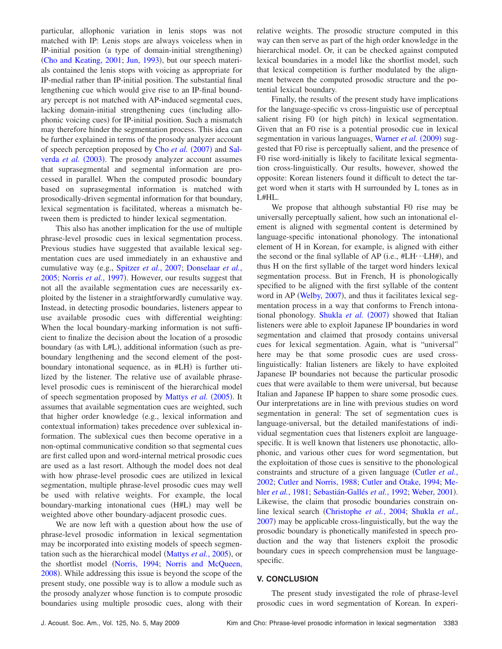particular, allophonic variation in lenis stops was not matched with IP: Lenis stops are always voiceless when in IP-initial position (a type of domain-initial strengthening) ([Cho and Keating, 2001;](#page-12-16) [Jun, 1993](#page-12-19)), but our speech materials contained the lenis stops with voicing as appropriate for IP-medial rather than IP-initial position. The substantial final lengthening cue which would give rise to an IP-final boundary percept is not matched with AP-induced segmental cues, lacking domain-initial strengthening cues (including allophonic voicing cues) for IP-initial position. Such a mismatch may therefore hinder the segmentation process. This idea can be further explained in terms of the prosody analyzer account of speech perception proposed by Cho [et al.](#page-12-9) (2007) and [Sal](#page-13-5)[verda](#page-13-5) et al. (2003). The prosody analyzer account assumes that suprasegmental and segmental information are processed in parallel. When the computed prosodic boundary based on suprasegmental information is matched with prosodically-driven segmental information for that boundary, lexical segmentation is facilitated, whereas a mismatch between them is predicted to hinder lexical segmentation.

This also has another implication for the use of multiple phrase-level prosodic cues in lexical segmentation process. Previous studies have suggested that available lexical segmentation cues are used immediately in an exhaustive and cumulative way (e.g., [Spitzer](#page-13-21) *et al.*, 2007; [Donselaar](#page-12-32) *et al.*, [2005;](#page-12-32) Norris et al.[, 1997](#page-13-22)). However, our results suggest that not all the available segmentation cues are necessarily exploited by the listener in a straightforwardly cumulative way. Instead, in detecting prosodic boundaries, listeners appear to use available prosodic cues with differential weighting: When the local boundary-marking information is not sufficient to finalize the decision about the location of a prosodic boundary (as with L#L), additional information (such as preboundary lengthening and the second element of the postboundary intonational sequence, as in #LH) is further utilized by the listener. The relative use of available phraselevel prosodic cues is reminiscent of the hierarchical model of speech segmentation proposed by [Mattys](#page-13-25) et al. (2005). It assumes that available segmentation cues are weighted, such that higher order knowledge (e.g., lexical information and contextual information) takes precedence over sublexical information. The sublexical cues then become operative in a non-optimal communicative condition so that segmental cues are first called upon and word-internal metrical prosodic cues are used as a last resort. Although the model does not deal with how phrase-level prosodic cues are utilized in lexical segmentation, multiple phrase-level prosodic cues may well be used with relative weights. For example, the local boundary-marking intonational cues (H#L) may well be weighted above other boundary-adjacent prosodic cues.

We are now left with a question about how the use of phrase-level prosodic information in lexical segmentation may be incorporated into existing models of speech segmen-tation such as the hierarchical model ([Mattys](#page-13-3) *et al.*, 2005), or the shortlist model ([Norris, 1994;](#page-13-23) [Norris and McQueen,](#page-13-24) [2008](#page-13-24)). While addressing this issue is beyond the scope of the present study, one possible way is to allow a module such as the prosody analyzer whose function is to compute prosodic boundaries using multiple prosodic cues, along with their

relative weights. The prosodic structure computed in this way can then serve as part of the high order knowledge in the hierarchical model. Or, it can be checked against computed lexical boundaries in a model like the shortlist model, such that lexical competition is further modulated by the alignment between the computed prosodic structure and the potential lexical boundary.

Finally, the results of the present study have implications for the language-specific vs cross-linguistic use of perceptual salient rising F0 (or high pitch) in lexical segmentation. Given that an F0 rise is a potential prosodic cue in lexical segmentation in various languages, [Warner](#page-13-15) et al. (2009) suggested that F0 rise is perceptually salient, and the presence of F0 rise word-initially is likely to facilitate lexical segmentation cross-linguistically. Our results, however, showed the opposite: Korean listeners found it difficult to detect the target word when it starts with H surrounded by L tones as in L#HL.

We propose that although substantial F0 rise may be universally perceptually salient, how such an intonational element is aligned with segmental content is determined by language-specific intonational phonology. The intonational element of H in Korean, for example, is aligned with either the second or the final syllable of AP (i.e.,  $#LH\cdot LHH$ ), and thus H on the first syllable of the target word hinders lexical segmentation process. But in French, H is phonologically specified to be aligned with the first syllable of the content word in AP ([Welby, 2007](#page-13-9)), and thus it facilitates lexical segmentation process in a way that conforms to French intona-tional phonology. [Shukla](#page-13-8) et al. (2007) showed that Italian listeners were able to exploit Japanese IP boundaries in word segmentation and claimed that prosody contains universal cues for lexical segmentation. Again, what is "universal" here may be that some prosodic cues are used crosslinguistically: Italian listeners are likely to have exploited Japanese IP boundaries not because the particular prosodic cues that were available to them were universal, but because Italian and Japanese IP happen to share some prosodic cues. Our interpretations are in line with previous studies on word segmentation in general: The set of segmentation cues is language-universal, but the detailed manifestations of individual segmentation cues that listeners exploit are languagespecific. It is well known that listeners use phonotactic, allophonic, and various other cues for word segmentation, but the exploitation of those cues is sensitive to the phonological constraints and structure of a given language [Cutler](#page-12-31) *et al.*, [2002;](#page-12-31) [Cutler and Norris, 1988;](#page-12-6) [Cutler and Otake, 1994;](#page-12-36) [Me-](#page-13-28)hler et al.[, 1981;](#page-13-28) [Sebastián-Gallés](#page-13-29) et al., 1992; [Weber, 2001](#page-13-30)). Likewise, the claim that prosodic boundaries constrain online lexical search [Christophe](#page-12-10) *et al.*, 2004; [Shukla](#page-13-8) *et al.*, [2007](#page-13-8)) may be applicable cross-linguistically, but the way the prosodic boundary is phonetically manifested in speech production and the way that listeners exploit the prosodic boundary cues in speech comprehension must be languagespecific.

#### **V. CONCLUSION**

The present study investigated the role of phrase-level prosodic cues in word segmentation of Korean. In experi-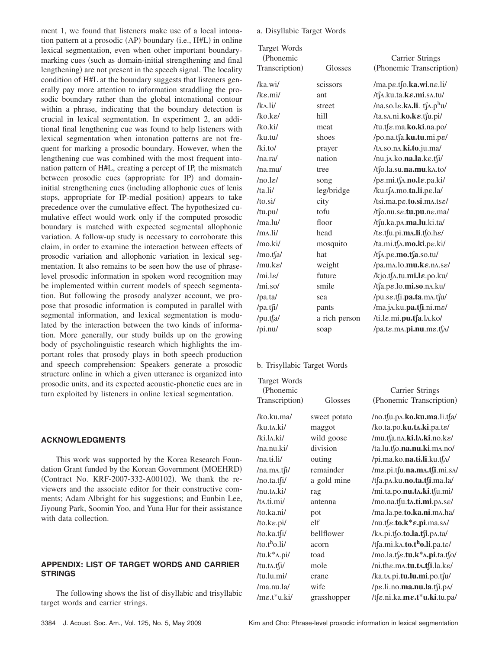ment 1, we found that listeners make use of a local intonation pattern at a prosodic (AP) boundary (i.e., H#L) in online lexical segmentation, even when other important boundarymarking cues (such as domain-initial strengthening and final lengthening) are not present in the speech signal. The locality condition of H#L at the boundary suggests that listeners generally pay more attention to information straddling the prosodic boundary rather than the global intonational contour within a phrase, indicating that the boundary detection is crucial in lexical segmentation. In experiment 2, an additional final lengthening cue was found to help listeners with lexical segmentation when intonation patterns are not frequent for marking a prosodic boundary. However, when the lengthening cue was combined with the most frequent intonation pattern of H#L, creating a percept of IP, the mismatch between prosodic cues (appropriate for IP) and domaininitial strengthening cues (including allophonic cues of lenis stops, appropriate for IP-medial position) appears to take precedence over the cumulative effect. The hypothesized cumulative effect would work only if the computed prosodic boundary is matched with expected segmental allophonic variation. A follow-up study is necessary to corroborate this claim, in order to examine the interaction between effects of prosodic variation and allophonic variation in lexical segmentation. It also remains to be seen how the use of phraselevel prosodic information in spoken word recognition may be implemented within current models of speech segmentation. But following the prosody analyzer account, we propose that prosodic information is computed in parallel with segmental information, and lexical segmentation is modulated by the interaction between the two kinds of information. More generally, our study builds up on the growing body of psycholinguistic research which highlights the important roles that prosody plays in both speech production and speech comprehension: Speakers generate a prosodic structure online in which a given utterance is organized into prosodic units, and its expected acoustic-phonetic cues are in turn exploited by listeners in online lexical segmentation.

## **ACKNOWLEDGMENTS**

This work was supported by the Korea Research Foundation Grant funded by the Korean Government (MOEHRD) (Contract No. KRF-2007-332-A00102). We thank the reviewers and the associate editor for their constructive comments; Adam Albright for his suggestions; and Eunbin Lee, Jiyoung Park, Soomin Yoo, and Yuna Hur for their assistance with data collection.

## **APPENDIX: LIST OF TARGET WORDS AND CARRIER STRINGS**

The following shows the list of disyllabic and trisyllabic target words and carrier strings.

#### a. Disyllabic Target Words

Target Words

|               | <b>Carrier Strings</b>                                            |
|---------------|-------------------------------------------------------------------|
| Glosses       | (Phonemic Transcription)                                          |
| scissors      | /ma.ps.tfo.ka.wi.ns.li/                                           |
| ant           | /tf^.ku.ta.ke.mi.s^.tu/                                           |
| street        | /na.so.le.k^.li. t∫^.p <sup>h</sup> u/                            |
| hill          | /ta.sA.ni.ko.ke.tfu.pi/                                           |
| meat          | /tu.tfe.ma.ko.ki.na.po/                                           |
| shoes         | /po.na.tfa.ku.tu.mi.pe/                                           |
| prayer        | /t^.so.n^.ki.to.ju.ma/                                            |
| nation        | /nu.j^.ko.na.la.ke.tfi/                                           |
| tree          | /tfo.la.su.na.mu.k^.to/                                           |
| song          | /ps.mi.tf^.no.le.pa.ki/                                           |
| leg/bridge    | /ku.tf^.mo.ta.li.ps.la/                                           |
| city          | $/tsi$ .ma.p $\varepsilon$ .to.si.m $\Lambda$ .ts $\varepsilon$ / |
| tofu          | /tfo.nu.se.tu.pu.ne.ma/                                           |
| floor         | /tfu.ka.p^.ma.lu.ki.ta/                                           |
| head          | /te.tfu.pi.mA.li.tfo.he/                                          |
| mosquito      | /ta.mi.tf^.mo.ki.pe.ki/                                           |
| hat           | /tʃʌ.pɛ.mo.tʃa.so.tu/                                             |
| weight        | /pa.mA.lo.mu.ke.nA.se/                                            |
| future        | /kjo.tf^.tu.mi.le.po.ku/                                          |
| smile         | /tfa.ps.lo.mi.so.nA.ku/                                           |
| sea           | /pu.ss.tfi.pa.ta.m.tfu/                                           |
| pants         | /ma.j^.ku.pa.tfi.ni.me/                                           |
| a rich person | /ti.ls.mi.pu.tfa.lA.ko/                                           |
| soap          | /pa.te.mA.pi.nu.me.tfA/                                           |
|               |                                                                   |

## b. Trisyllabic Target Words

| <b>Target Words</b>      |              |                                                   |
|--------------------------|--------------|---------------------------------------------------|
| (Phonemic                |              | <b>Carrier Strings</b>                            |
| Transcription)           | Glosses      | (Phonemic Transcription)                          |
| /ko.ku.ma/               | sweet potato | /no.tfu.pA.ko.ku.ma.li.tfa/                       |
| /ku.tʌ.ki/               | maggot       | /ko.ta.po.ku.ta.ki.pa.te/                         |
| /ki.lʌ.ki/               | wild goose   | /mu.tfa.n^.ki.h.ki.no.ke/                         |
| /na.nu.ki/               | division     | /ta.lu.tfo.na.nu.ki.mA.no/                        |
| /na.ti.li/               | outing       | /pi.ma.ko. <b>na.ti.li</b> .ku.t∫∧/               |
| /na.m∧.t∫i/              | remainder    | /me.pi.tfu.na.mA.tfi.mi.sA/                       |
| /no.ta.tfi/              | a gold mine  | /tfa.p^.ku.no.ta.tfi.ma.la/                       |
| /nu.tʌ.ki/               | rag          | /mi.ta.po.nu.ta.ki.tfu.mi/                        |
| /tʌ.ti.mi/               | antenna      | /mo.na.tfu.ta.ti.mi.pA.se/                        |
| /to.ka.ni/               | pot          | /ma.la.pe.to.ka.ni.mA.ha/                         |
| /to.ks.pi/               | elf          | /nu.tfe.to.k* $\varepsilon$ .pi.ma.s $\Delta$ /   |
| /to.ka.tfi/              | bellflower   | /k^.pi.tfo.to.la.tfi.p^.ta/                       |
| /to.t <sup>h</sup> o.li/ | acorn        | /tʃa.mi.k^.to.t <sup>h</sup> o.li.pa.t <i>ε</i> / |
| /tu.k*^.pi/              | toad         | /mo.la.tfe.tu.k*^.pi.ta.tfo/                      |
| /tu.t∧.t∫i/              | mole         | $/ni.th\varepsilon.mA.tu.tA.t[i.la.k\varepsilon/$ |
| /tu.lu.mi/               | crane        | /ka.t^.pi.tu.lu.mi.po.tfu/                        |
| /ma.nu.la/               | wife         | /pe.li.no.ma.nu.la.tfi.p^/                        |
| /mɛ.t*u.ki/              | grasshopper  | /ts.ni.ka.me.t*u.ki.tu.pa/                        |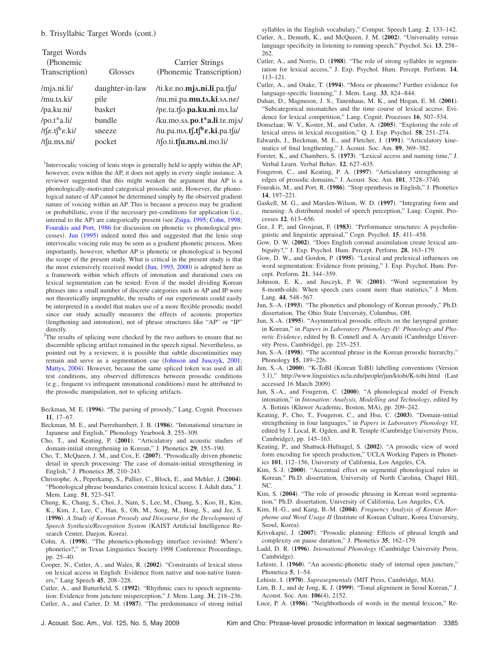## b. Trisyllabic Target Words (cont.)

| <b>Target Words</b><br>(Phonemic                      |                 | <b>Carrier Strings</b>                                              |
|-------------------------------------------------------|-----------------|---------------------------------------------------------------------|
| Transcription)                                        | Glosses         | (Phonemic Transcription)                                            |
| $/mi\Lambda.ni.li/$                                   | daughter-in-law | /ti.k $\varepsilon$ .no. <b>mj</b> $\Lambda$ .ni.li.pa.t $\int u$ / |
| /mu.t <sub>A</sub> .ki/                               | pile            | /nu.mi.pa.mu.t^.ki.s^.ne/                                           |
| /pa.ku.ni/                                            | basket          | /ps.ta.tfo.pa.ku.ni.m^.la/                                          |
| / $\text{po.t}^*$ a.li/                               | bundle          | /ku.mo.sA.po.t*a.li.te.mj/                                          |
| / $t[\varepsilon.t]^{\text{h}}\varepsilon.\text{ki}/$ | sneeze          | /tu.pa.m $\Lambda$ .tf.tf <sup>h</sup> $\varepsilon$ .ki.pa.tfu/    |
| /tfu.m $\Lambda$ .ni/                                 | pocket          | /tfo.ti.tfu.mA.ni.mo.li/                                            |
|                                                       |                 |                                                                     |

<sup>1</sup>Intervocalic voicing of lenis stops is generally held to apply within the AP; however, even within the AP, it does not apply in every single instance. A reviewer suggested that this might weaken the argument that AP is a phonologically-motivated categorical prosodic unit. However, the phonological nature of AP cannot be determined simply by the observed gradient nature of voicing within an AP. This is because a process may be gradient or probabilistic, even if the necessary pre-conditions for application (i.e., internal to the AP) are categorically present (see [Zsiga, 1995;](#page-13-31) [Cohn, 1998;](#page-12-37) [Fourakis and Port, 1986](#page-12-38) for discussion on phonetic vs phonological pro-cesses). Jun ([1995](#page-12-20)) indeed noted this and suggested that the lenis stop intervocalic voicing rule may be seen as a gradient phonetic process. More importantly, however, whether AP is phonetic or phonological is beyond the scope of the present study. What is critical in the present study is that the most extensively received model ([Jun, 1993,](#page-12-19) [2000](#page-12-21)) is adopted here as a framework within which effects of intonation and durational cues on lexical segmentation can be tested: Even if the model dividing Korean phrases into a small number of discrete categories such as AP and IP were not theoretically impregnable, the results of our experiments could easily be interpreted in a model that makes use of a more flexible prosodic model since our study actually measures the effects of acoustic properties (lengthening and intonation), not of phrase structures like "AP" or "IP" directly.

<sup>2</sup>The results of splicing were checked by the two authors to ensure that no discernible splicing artifact remained in the speech signal. Nevertheless, as pointed out by a reviewer, it is possible that subtle discontinuities may remain and serve as a segmentation cue ([Johnson and Jusczyk, 2001;](#page-12-39) [Mattys, 2004](#page-13-32)). However, because the same spliced token was used in all test conditions, any observed differences between prosodic conditions (e.g., frequent vs infrequent intonational conditions) must be attributed to the prosodic manipulation, not to splicing artifacts.

- <span id="page-12-7"></span>Beckman, M. E. (1996). "The parsing of prosody," Lang. Cognit. Processes **11**, 17–67.
- <span id="page-12-11"></span>Beckman, M. E., and Pierrehumbert, J. B. (1986). "Intonational structure in Japanese and English," Phonology Yearbook **3**, 255–309.
- <span id="page-12-16"></span>Cho, T., and Keating, P. (2001). "Articulatory and acoustic studies of domain-initial strengthening in Korean," J. Phonetics **29**, 155–190.
- <span id="page-12-9"></span>Cho, T., McQueen, J. M., and Cox, E. **2007**-. "Prosodically driven phonetic detail in speech processing: The case of domain-initial strengthening in English," J. Phonetics **35**, 210–243.
- <span id="page-12-10"></span>Christophe, A., Peperkamp, S., Pallier, C., Block, E., and Mehler, J. (2004). "Phonological phrase boundaries constrain lexical access: I. Adult data," J. Mem. Lang. **51**, 523–547.
- <span id="page-12-22"></span>Chung, K., Chang, S., Choi, J., Nam, S., Lee, M., Chung, S., Koo, H., Kim, K., Kim, J., Lee, C., Han, S., Oh, M., Song, M., Hong, S., and Jee, S. **1996**-. *A Study of Korean Prosody and Discourse for the Development of Speech Synthesis/Recognition System* KAIST Artificial Intelligence Research Center, Daejon, Korea).
- <span id="page-12-37"></span>Cohn, A. (1998). "The phonetics-phonology interface revisited: Where's phonetics?," in Texas Linguistics Society 1998 Conference Proceedings, pp. 25–40.
- <span id="page-12-30"></span>Cooper, N., Cutler, A., and Wales, R. (2002). "Constraints of lexical stress on lexical access in English: Evidence from native and non-native listeners," Lang Speech **45**, 208–228.

<span id="page-12-29"></span><span id="page-12-5"></span>Cutler, A., and Butterfield, S. (1992). "Rhythmic cues to speech segmentation: Evidence from juncture misperception," J. Mem. Lang. **31**, 218–236. Cutler, A., and Carter, D. M. (1987). "The predominance of strong initial

syllables in the English vocabulary," Comput. Speech Lang. **2**, 133–142.

- <span id="page-12-31"></span>Cutler, A., Demuth, K., and McQueen, J. M. (2002). "Universality versus language specificity in listening to running speech," Psychol. Sci. **13**, 258– 262.
- <span id="page-12-6"></span>Cutler, A., and Norris, D. (1988). "The role of strong syllables in segmentation for lexical access," J. Exp. Psychol. Hum. Percept. Perform. **14**, 113–121.
- <span id="page-12-36"></span>Cutler, A., and Otake, T. (1994). "Mora or phoneme? Further evidence for language-specific listening," J. Mem. Lang. **33**, 824–844.
- <span id="page-12-2"></span>Dahan, D., Magnuson, J. S., Tanenhaus, M. K., and Hogan, E. M. (2001). "Subcategorical mismatches and the time course of lexical access: Evidence for lexical competition," Lang. Cognit. Processes **16**, 507–534.
- <span id="page-12-32"></span>Donselaar, W. V., Koster, M., and Cutler, A. (2005). "Exploring the role of lexical stress in lexical recognition," Q. J. Exp. Psychol. **58**, 251–274.
- <span id="page-12-14"></span>Edwards, J., Beckman, M. E., and Fletcher, J. (1991). "Articulatory kinematics of final lengthening," J. Acoust. Soc. Am. **89**, 369–382.
- <span id="page-12-28"></span>Forster, K., and Chambers, S. (1973). "Lexical access and naming time," J. Verbal Learn. Verbal Behav. **12**, 627–635.
- <span id="page-12-17"></span>Fougeron, C., and Keating, P. A. (1997). "Articulatory strengthening at edges of prosodic domains," J. Acoust. Soc. Am. **101**, 3728–3740.
- <span id="page-12-38"></span>Fourakis, M., and Port, R. (1986). "Stop epenthesis in English," J. Phonetics **14**, 197–221.
- <span id="page-12-33"></span>Gaskell, M. G., and Marslen-Wilson, W. D. (1997). "Integrating form and meaning: A distributed model of speech perception," Lang. Cognit. Processes **12**, 613–656.
- <span id="page-12-12"></span>Gee, J. P., and Grosjean, F. (1983). "Performance structures: A psycholinguistic and linguistic appraisal," Cogn. Psychol. **15**, 411–458.
- <span id="page-12-3"></span>Gow, D. W. (2002). "Does English coronal assimilation create lexical ambiguity?," J. Exp. Psychol. Hum. Percept. Perform. **28**, 163–179.
- <span id="page-12-1"></span>Gow, D. W., and Gordon, P. (1995). "Lexical and prelexical influences on word segmentation: Evidence from priming," J. Exp. Psychol. Hum. Percept. Perform. **21**, 344–359.
- <span id="page-12-39"></span>Johnson, E. K., and Jusczyk, P. W. (2001). "Word segmentation by 8-month-olds: When speech cues count more than statistics," J. Mem. Lang. **44**, 548–567.
- <span id="page-12-19"></span>Jun, S.-A. (1993). "The phonetics and phonology of Korean prosody," Ph.D. dissertation, The Ohio State University, Columbus, OH.
- <span id="page-12-20"></span>Jun, S.-A. (1995). "Asymmetrical prosodic effects on the laryngeal gesture in Korean," in *Papers in Laboratory Phonology IV: Phonology and Phonetic Evidence*, edited by B. Connell and A. Arvaniti Cambridge University Press, Cambridge), pp. 235-253.
- <span id="page-12-26"></span>Jun, S.-A. (1998). "The accentual phrase in the Korean prosodic hierarchy," Phonology **15**, 189–226.
- <span id="page-12-21"></span>Jun, S.-A. (2000). "K-ToBI (Korean ToBI) labelling conventions (Version 3.1)," http://www.linguistics.ucla.edu/people/jun/ktobi/K-tobi.html (Last accessed 16 March 2009).
- <span id="page-12-24"></span>Jun, S.-A., and Fougeron, C. (2000). "A phonological model of French intonation," in *Intonation: Analysis, Modelling and Technology*, edited by A. Botinis (Kluwer Academic, Boston, MA), pp. 209-242.
- <span id="page-12-18"></span>Keating, P., Cho, T., Fougeron, C., and Hsu, C. (2003). "Domain-initial strengthening in four languages," in *Papers in Laboratory Phonology VI*, edited by J. Local, R. Ogden, and R. Temple Cambridge University Press, Cambridge), pp. 145-163.
- <span id="page-12-8"></span>Keating, P., and Shattuck-Hufnagel, S. (2002). "A prosodic view of word form encoding for speech production," UCLA Working Papers in Phonetics **101**, 112–156, University of California, Los Angeles, CA.
- <span id="page-12-27"></span>Kim, S.-J. (2000). "Accentual effect on segmental phonological rules in Korean," Ph.D. dissertation, University of North Carolina, Chapel Hill, NC.
- <span id="page-12-25"></span>Kim, S. (2004). "The role of prosodic phrasing in Korean word segmentation," Ph.D. dissertation, University of California, Los Angeles, CA.
- <span id="page-12-35"></span>Kim, H.-G., and Kang, B.-M. (2004). *Frequency Analysis of Korean Morpheme and Word Usage II* (Institute of Korean Culture, Korea University, Seoul, Korea).
- <span id="page-12-13"></span>Krivokapić, J. (2007). "Prosodic planning: Effects of phrasal length and complexity on pause duration," J. Phonetics **35**, 162–179.
- <span id="page-12-15"></span>Ladd, D. R. (1996). *Intonational Phonology* (Cambridge University Press, Cambridge).
- <span id="page-12-0"></span>Lehiste, I. (1960). "An acoustic-phonetic study of internal open juncture," Phonetica **5**, 1–54.
- <span id="page-12-4"></span>Lehiste, I. (1970). Suprasegmentals (MIT Press, Cambridge, MA).
- <span id="page-12-23"></span>Lim, B. J., and de Jong, K. J. (1999). "Tonal alignment in Seoul Korean," J. Acoust. Soc. Am. **106**(4), 2152.
- <span id="page-12-34"></span>Luce, P. A. (1986). "Neighborhoods of words in the mental lexicon," Re-